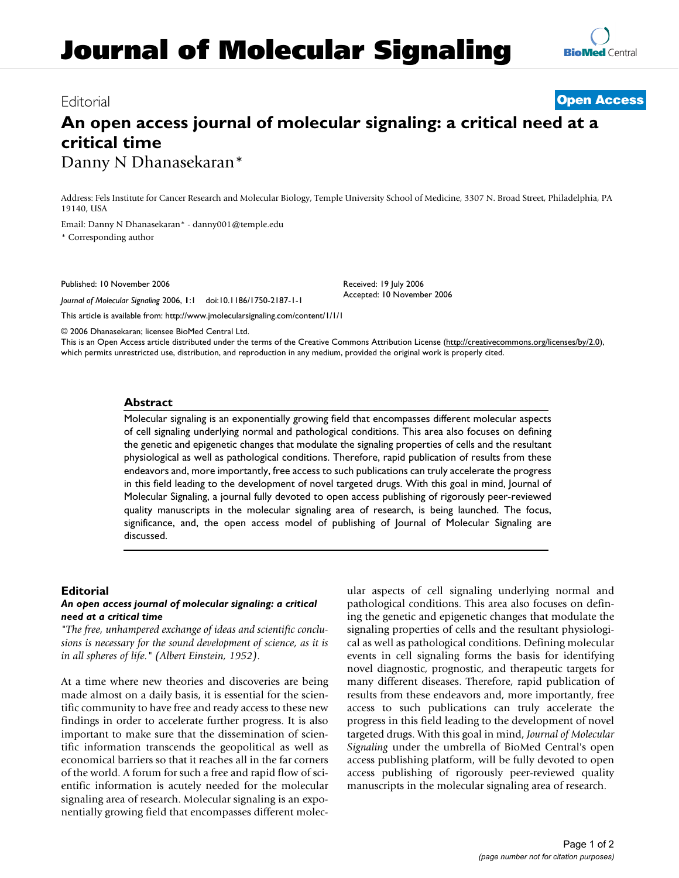# Editorial **[Open Access](http://www.biomedcentral.com/info/about/charter/)**

# **An open access journal of molecular signaling: a critical need at a critical time** Danny N Dhanasekaran\*

Address: Fels Institute for Cancer Research and Molecular Biology, Temple University School of Medicine, 3307 N. Broad Street, Philadelphia, PA 19140, USA

> Received: 19 July 2006 Accepted: 10 November 2006

Email: Danny N Dhanasekaran\* - danny001@temple.edu \* Corresponding author

Published: 10 November 2006

*Journal of Molecular Signaling* 2006, **1**:1 doi:10.1186/1750-2187-1-1

[This article is available from: http://www.jmolecularsignaling.com/content/1/1/1](http://www.jmolecularsignaling.com/content/1/1/1)

© 2006 Dhanasekaran; licensee BioMed Central Ltd.

This is an Open Access article distributed under the terms of the Creative Commons Attribution License [\(http://creativecommons.org/licenses/by/2.0\)](http://creativecommons.org/licenses/by/2.0), which permits unrestricted use, distribution, and reproduction in any medium, provided the original work is properly cited.

#### **Abstract**

Molecular signaling is an exponentially growing field that encompasses different molecular aspects of cell signaling underlying normal and pathological conditions. This area also focuses on defining the genetic and epigenetic changes that modulate the signaling properties of cells and the resultant physiological as well as pathological conditions. Therefore, rapid publication of results from these endeavors and, more importantly, free access to such publications can truly accelerate the progress in this field leading to the development of novel targeted drugs. With this goal in mind, Journal of Molecular Signaling, a journal fully devoted to open access publishing of rigorously peer-reviewed quality manuscripts in the molecular signaling area of research, is being launched. The focus, significance, and, the open access model of publishing of Journal of Molecular Signaling are discussed.

## **Editorial**

### *An open access journal of molecular signaling: a critical need at a critical time*

*"The free, unhampered exchange of ideas and scientific conclusions is necessary for the sound development of science, as it is in all spheres of life." (Albert Einstein, 1952)*.

At a time where new theories and discoveries are being made almost on a daily basis, it is essential for the scientific community to have free and ready access to these new findings in order to accelerate further progress. It is also important to make sure that the dissemination of scientific information transcends the geopolitical as well as economical barriers so that it reaches all in the far corners of the world. A forum for such a free and rapid flow of scientific information is acutely needed for the molecular signaling area of research. Molecular signaling is an exponentially growing field that encompasses different molecular aspects of cell signaling underlying normal and pathological conditions. This area also focuses on defining the genetic and epigenetic changes that modulate the signaling properties of cells and the resultant physiological as well as pathological conditions. Defining molecular events in cell signaling forms the basis for identifying novel diagnostic, prognostic, and therapeutic targets for many different diseases. Therefore, rapid publication of results from these endeavors and, more importantly, free access to such publications can truly accelerate the progress in this field leading to the development of novel targeted drugs. With this goal in mind, *Journal of Molecular Signaling* under the umbrella of BioMed Central's open access publishing platform, will be fully devoted to open access publishing of rigorously peer-reviewed quality manuscripts in the molecular signaling area of research.